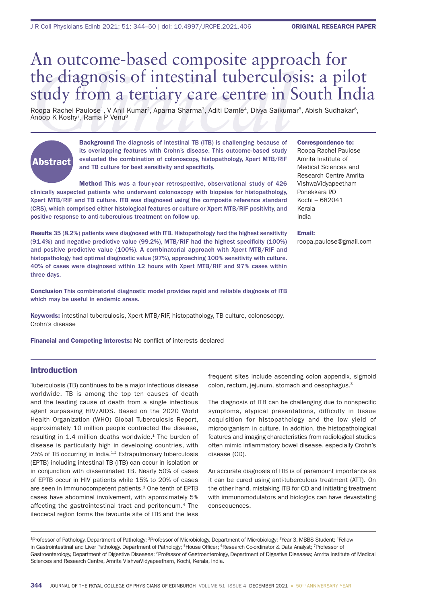# **COLICIST:** The diagnosis of intestinal tuberculosis: a pilot study from a tertiary care centre in South India<br>
Roopa Rachel Paulose<sup>4</sup>, V Anil Kumar<sup>2</sup>, Aparna Sharma<sup>3</sup>, Aditi Damle<sup>4</sup>, Divya Saikumar<sup>5</sup>, Abish Sudhakar<sup></sup> An outcome-based composite approach for study from a tertiary care centre in South India

Roopa Rachel Paulose<sup>1</sup>, V Anil Kumar<sup>2</sup>, Aparna Sharma<sup>3</sup>, Aditi Damle<sup>4</sup>, Divya Saikumar<sup>5</sup>, Abish Sudhakar<sup>6</sup>, Anoop K Koshy<sup>7</sup>, Rama P Venu<sup>8</sup>



Background The diagnosis of intestinal TB (ITB) is challenging because of its overlapping features with Crohn's disease. This outcome-based study evaluated the combination of colonoscopy, histopathology, Xpert MTB/RIF and TB culture for best sensitivity and specificity.

Method This was a four-year retrospective, observational study of 426 clinically suspected patients who underwent colonoscopy with biopsies for histopathology, Xpert MTB/RIF and TB culture. ITB was diagnosed using the composite reference standard (CRS), which comprised either histological features or culture or Xpert MTB/RIF positivity, and positive response to anti-tuberculous treatment on follow up.

Results 35 (8.2%) patients were diagnosed with ITB. Histopathology had the highest sensitivity  $(91.4\%)$  and negative predictive value  $(99.2\%)$ , MTB/RIF had the highest specificity  $(100\%)$ and positive predictive value (100%). A combinatorial approach with Xpert MTB/RIF and histopathology had optimal diagnostic value (97%), approaching 100% sensitivity with culture. 40% of cases were diagnosed within 12 hours with Xpert MTB/RIF and 97% cases within three days.

Conclusion This combinatorial diagnostic model provides rapid and reliable diagnosis of ITB which may be useful in endemic areas.

Keywords: intestinal tuberculosis, Xpert MTB/RIF, histopathology, TB culture, colonoscopy, Crohn's disease

**Financial and Competing Interests: No conflict of interests declared** 

# Introduction

Tuberculosis (TB) continues to be a major infectious disease worldwide. TB is among the top ten causes of death and the leading cause of death from a single infectious agent surpassing HIV/AIDS. Based on the 2020 World Health Organization (WHO) Global Tuberculosis Report, approximately 10 million people contracted the disease, resulting in 1.4 million deaths worldwide. $1$  The burden of disease is particularly high in developing countries, with 25% of TB occurring in India.<sup>1,2</sup> Extrapulmonary tuberculosis (EPTB) including intestinal TB (ITB) can occur in isolation or in conjunction with disseminated TB. Nearly 50% of cases of EPTB occur in HIV patients while 15% to 20% of cases are seen in immunocompetent patients.3 One tenth of EPTB cases have abdominal involvement, with approximately 5% affecting the gastrointestinal tract and peritoneum.4 The ileocecal region forms the favourite site of ITB and the less

#### Correspondence to:

Roopa Rachel Paulose Amrita Institute of Medical Sciences and Research Centre Amrita VishwaVidyapeetham Ponekkara P.O. Kochi – 682041 Kerala India

#### Email:

roopa.paulose@gmail.com

frequent sites include ascending colon appendix, sigmoid colon, rectum, jejunum, stomach and oesophagus.<sup>3</sup>

The diagnosis of ITB can be challenging due to nonspecific symptoms, atypical presentations, difficulty in tissue acquisition for histopathology and the low yield of microorganism in culture. In addition, the histopathological features and imaging characteristics from radiological studies often mimic inflammatory bowel disease, especially Crohn's disease (CD).

An accurate diagnosis of ITB is of paramount importance as it can be cured using anti-tuberculous treatment (ATT). On the other hand, mistaking ITB for CD and initiating treatment with immunomodulators and biologics can have devastating consequences.

<sup>1</sup>Professor of Pathology, Department of Pathology; <sup>2</sup>Professor of Microbiology, Department of Microbiology; <sup>3</sup>Year 3, MBBS Student; <sup>4</sup>Fellow in Gastrointestinal and Liver Pathology, Department of Pathology; <sup>5</sup>House Officer; <sup>6</sup>Research Co-ordinator & Data Analyst; <sup>7</sup>Professor of Gastroenterology, Department of Digestive Diseases; <sup>a</sup>Professor of Gastroenterology, Department of Digestive Diseases; Amrita Institute of Medical Sciences and Research Centre, Amrita VishwaVidyapeetham, Kochi, Kerala, India.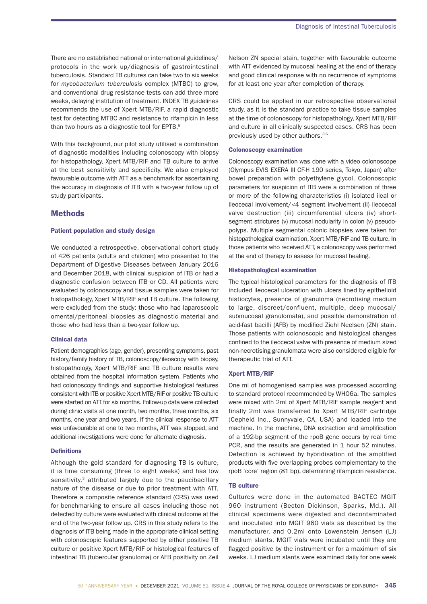There are no established national or international guidelines/ protocols in the work up/diagnosis of gastrointestinal tuberculosis. Standard TB cultures can take two to six weeks for *mycobacterium tuberculosis* complex (MTBC) to grow, and conventional drug resistance tests can add three more weeks, delaying institution of treatment. INDEX TB guidelines recommends the use of Xpert MTB/RIF, a rapid diagnostic test for detecting MTBC and resistance to rifampicin in less than two hours as a diagnostic tool for EPTB.<sup>5</sup>

With this background, our pilot study utilised a combination of diagnostic modalities including colonoscopy with biopsy for histopathology, Xpert MTB/RIF and TB culture to arrive at the best sensitivity and specificity. We also employed favourable outcome with ATT as a benchmark for ascertaining the accuracy in diagnosis of ITB with a two-year follow up of study participants.

# **Methods**

#### Patient population and study design

We conducted a retrospective, observational cohort study of 426 patients (adults and children) who presented to the Department of Digestive Diseases between January 2016 and December 2018, with clinical suspicion of ITB or had a diagnostic confusion between ITB or CD. All patients were evaluated by colonoscopy and tissue samples were taken for histopathology, Xpert MTB/RIF and TB culture. The following were excluded from the study: those who had laparoscopic omental/peritoneal biopsies as diagnostic material and those who had less than a two-year follow up.

#### Clinical data

Patient demographics (age, gender), presenting symptoms, past history/family history of TB, colonoscopy/ileoscopy with biopsy, histopathology, Xpert MTB/RIF and TB culture results were obtained from the hospital information system. Patients who had colonoscopy findings and supportive histological features consistent with ITB or positive Xpert MTB/RIF or positive TB culture were started on ATT for six months. Follow-up data were collected during clinic visits at one month, two months, three months, six months, one year and two years. If the clinical response to ATT was unfavourable at one to two months, ATT was stopped, and additional investigations were done for alternate diagnosis.

## **Definitions**

Although the gold standard for diagnosing TB is culture, it is time consuming (three to eight weeks) and has low sensitivity,<sup>3</sup> attributed largely due to the paucibacillary nature of the disease or due to prior treatment with ATT. Therefore a composite reference standard (CRS) was used for benchmarking to ensure all cases including those not detected by culture were evaluated with clinical outcome at the end of the two-year follow up. CRS in this study refers to the diagnosis of ITB being made in the appropriate clinical setting with colonoscopic features supported by either positive TB culture or positive Xpert MTB/RIF or histological features of intestinal TB (tubercular granuloma) or AFB positivity on Zeil

Nelson ZN special stain, together with favourable outcome with ATT evidenced by mucosal healing at the end of therapy and good clinical response with no recurrence of symptoms for at least one year after completion of therapy.

CRS could be applied in our retrospective observational study, as it is the standard practice to take tissue samples at the time of colonoscopy for histopathology, Xpert MTB/RIF and culture in all clinically suspected cases. CRS has been previously used by other authors.<sup>3,6</sup>

#### Colonoscopy examination

Colonoscopy examination was done with a video colonoscope (Olympus EVIS EXERA III CF-H 190 series, Tokyo, Japan) after bowel preparation with polyethylene glycol. Colonoscopic parameters for suspicion of ITB were a combination of three or more of the following characteristics (i) isolated ileal or ileocecal involvement/<4 segment involvement (ii) ileocecal valve destruction (iii) circumferential ulcers (iv) shortsegment strictures (v) mucosal nodularity in colon (v) pseudopolyps. Multiple segmental colonic biopsies were taken for histopathological examination, Xpert MTB/RIF and TB culture. In those patients who received ATT, a colonoscopy was performed at the end of therapy to assess for mucosal healing.

## Histopathological examination

The typical histological parameters for the diagnosis of ITB included ileocecal ulceration with ulcers lined by epithelioid histiocytes, presence of granuloma (necrotising medium to large, discreet/confluent, multiple, deep mucosal/ submucosal granulomata), and possible demonstration of acid-fast bacilli (AFB) by modified Ziehl Neelsen (ZN) stain. Those patients with colonoscopic and histological changes confined to the ileocecal valve with presence of medium sized non-necrotising granulomata were also considered eligible for therapeutic trial of ATT.

#### Xpert MTB/RIF

One ml of homogenised samples was processed according to standard protocol recommended by WHO6a. The samples were mixed with 2ml of Xpert MTB/RIF sample reagent and finally 2ml was transferred to Xpert MTB/RIF cartridge (Cepheid Inc., Sunnyvale, CA, USA) and loaded into the machine. In the machine, DNA extraction and amplification of a 192-bp segment of the rpoB gene occurs by real time PCR, and the results are generated in 1 hour 52 minutes. Detection is achieved by hybridisation of the amplified products with five overlapping probes complementary to the rpoB 'core' region (81 bp), determining rifampicin resistance.

## **TB culture**

Cultures were done in the automated BACTEC MGIT 960 instrument (Becton Dickinson, Sparks, Md.). All clinical specimens were digested and decontaminated and inoculated into MGIT 960 vials as described by the manufacturer, and 0.2ml onto Lowenstein Jensen (LJ) medium slants. MGIT vials were incubated until they are flagged positive by the instrument or for a maximum of six weeks. LJ medium slants were examined daily for one week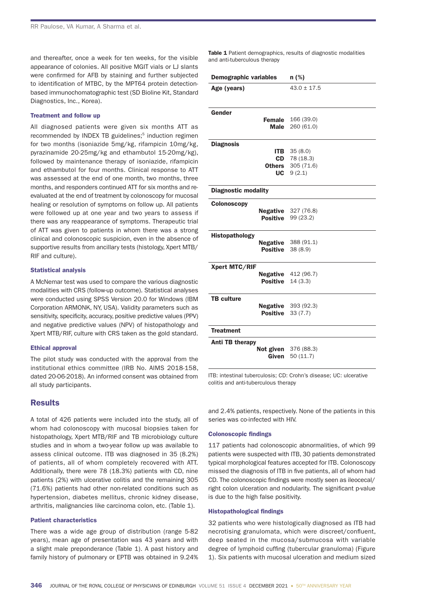and thereafter, once a week for ten weeks, for the visible appearance of colonies. All positive MGIT vials or LJ slants were confirmed for AFB by staining and further subjected to identification of MTBC, by the MPT64 protein detectionbased immunochomatographic test (SD Bioline Kit, Standard Diagnostics, Inc., Korea).

#### Treatment and follow up

All diagnosed patients were given six months ATT as recommended by INDEX TB guidelines;<sup>5</sup> induction regimen for two months (isoniazide 5mg/kg, rifampicin 10mg/kg, pyrazinamide 20-25mg/kg and ethambutol 15-20mg/kg), followed by maintenance therapy of isoniazide, rifampicin and ethambutol for four months. Clinical response to ATT was assessed at the end of one month, two months, three months, and responders continued ATT for six months and reevaluated at the end of treatment by colonoscopy for mucosal healing or resolution of symptoms on follow up. All patients were followed up at one year and two years to assess if there was any reappearance of symptoms. Therapeutic trial of ATT was given to patients in whom there was a strong clinical and colonoscopic suspicion, even in the absence of supportive results from ancillary tests (histology, Xpert MTB/ RIF and culture).

## Statistical analysis

A McNemar test was used to compare the various diagnostic modalities with CRS (follow-up outcome). Statistical analyses were conducted using SPSS Version 20.0 for Windows (IBM Corporation ARMONK, NY, USA). Validity parameters such as sensitivity, specificity, accuracy, positive predictive values (PPV) and negative predictive values (NPV) of histopathology and Xpert MTB/RIF, culture with CRS taken as the gold standard.

#### Ethical approval

The pilot study was conducted with the approval from the institutional ethics committee (IRB No. AIMS 2018-158, dated 20-06-2018). An informed consent was obtained from all study participants.

# **Results**

A total of 426 patients were included into the study, all of whom had colonoscopy with mucosal biopsies taken for histopathology, Xpert MTB/RIF and TB microbiology culture studies and in whom a two-year follow up was available to assess clinical outcome. ITB was diagnosed in 35 (8.2%) of patients, all of whom completely recovered with ATT. Additionally, there were 78 (18.3%) patients with CD, nine patients (2%) with ulcerative colitis and the remaining 305 (71.6%) patients had other non-related conditions such as hypertension, diabetes mellitus, chronic kidney disease, arthritis, malignancies like carcinoma colon, etc. (Table 1).

#### Patient characteristics

There was a wide age group of distribution (range 5-82 years), mean age of presentation was 43 years and with a slight male preponderance (Table 1). A past history and family history of pulmonary or EPTB was obtained in 9.24%

Table 1 Patient demographics, results of diagnostic modalities and anti-tuberculous therapy

| Demographic variables         | $n$ (%)                                                            |  |  |  |  |  |  |  |
|-------------------------------|--------------------------------------------------------------------|--|--|--|--|--|--|--|
| Age (years)                   | $43.0 \pm 17.5$                                                    |  |  |  |  |  |  |  |
| Gender                        |                                                                    |  |  |  |  |  |  |  |
| Male                          | <b>Female</b> 166 (39.0)<br>260 (61.0)                             |  |  |  |  |  |  |  |
| <b>Diagnosis</b><br>ITB       | 35(8.0)<br>$CD$ 78 (18.3)<br><b>Others</b> 305 (71.6)<br>UC 9(2.1) |  |  |  |  |  |  |  |
| <b>Diagnostic modality</b>    |                                                                    |  |  |  |  |  |  |  |
| <b>Colonoscopy</b>            | <b>Negative</b> 327 (76.8)<br><b>Positive</b> 99 (23.2)            |  |  |  |  |  |  |  |
| Histopathology<br>Positive    | <b>Negative</b> 388 (91.1)<br>38 (8.9)                             |  |  |  |  |  |  |  |
| Xpert MTC/RIF<br>Positive     | Negative 412 (96.7)<br>14(3.3)                                     |  |  |  |  |  |  |  |
| <b>TB</b> culture<br>Positive | <b>Negative</b> 393 (92.3)<br>33(7.7)                              |  |  |  |  |  |  |  |
| <b>Treatment</b>              |                                                                    |  |  |  |  |  |  |  |
| Anti TB therapy<br>Given      | <b>Not given</b> 376 (88.3)<br>50(11.7)                            |  |  |  |  |  |  |  |

ITB: intestinal tuberculosis; CD: Crohn's disease; UC: ulcerative colitis and anti-tuberculous therapy

and 2.4% patients, respectively. None of the patients in this series was co-infected with HIV.

#### **Colonoscopic findings**

117 patients had colonoscopic abnormalities, of which 99 patients were suspected with ITB, 30 patients demonstrated typical morphological features accepted for ITB. Colonoscopy missed the diagnosis of ITB in five patients, all of whom had CD. The colonoscopic findings were mostly seen as ileocecal/ right colon ulceration and nodularity. The significant p-value is due to the high false positivity.

#### **Histopathological findings**

32 patients who were histologically diagnosed as ITB had necrotising granulomata, which were discreet/confluent, deep seated in the mucosa/submucosa with variable degree of lymphoid cuffing (tubercular granuloma) (Figure 1). Six patients with mucosal ulceration and medium sized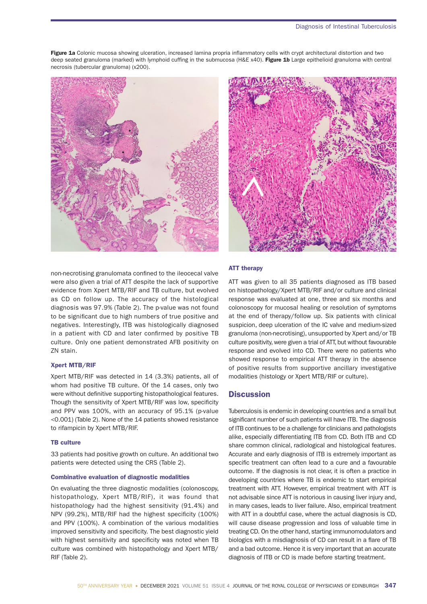Figure 1a Colonic mucosa showing ulceration, increased lamina propria inflammatory cells with crypt architectural distortion and two deep seated granuloma (marked) with lymphoid cuffing in the submucosa (H&E x40). Figure 1b Large epithelioid granuloma with central necrosis (tubercular granuloma) (x200).



non-necrotising granulomata confined to the ileocecal valve were also given a trial of ATT despite the lack of supportive evidence from Xpert MTB/RIF and TB culture, but evolved as CD on follow up. The accuracy of the histological diagnosis was 97.9% (Table 2). The p-value was not found to be significant due to high numbers of true positive and negatives. Interestingly, ITB was histologically diagnosed in a patient with CD and later confirmed by positive TB culture. Only one patient demonstrated AFB positivity on ZN stain.

# Xpert MTB/RIF

Xpert MTB/RIF was detected in 14 (3.3%) patients, all of whom had positive TB culture. Of the 14 cases, only two were without definitive supporting histopathological features. Though the sensitivity of Xpert MTB/RIF was low, specificity and PPV was 100%, with an accuracy of 95.1% (p-value <0.001) (Table 2). None of the 14 patients showed resistance to rifampicin by Xpert MTB/RIF.

## **TB culture**

33 patients had positive growth on culture. An additional two patients were detected using the CRS (Table 2).

### Combinative evaluation of diagnostic modalities

On evaluating the three diagnostic modalities (colonoscopy, histopathology, Xpert MTB/RIF), it was found that histopathology had the highest sensitivity (91.4%) and NPV (99.2%), MTB/RIF had the highest specificity (100%) and PPV (100%). A combination of the various modalities improved sensitivity and specificity. The best diagnostic yield with highest sensitivity and specificity was noted when TB culture was combined with histopathology and Xpert MTB/ RIF (Table 2).



## ATT therapy

ATT was given to all 35 patients diagnosed as ITB based on histopathology/Xpert MTB/RIF and/or culture and clinical response was evaluated at one, three and six months and colonoscopy for mucosal healing or resolution of symptoms at the end of therapy/follow up. Six patients with clinical suspicion, deep ulceration of the IC valve and medium-sized granuloma (non-necrotising), unsupported by Xpert and/or TB culture positivity, were given a trial of ATT, but without favourable response and evolved into CD. There were no patients who showed response to empirical ATT therapy in the absence of positive results from supportive ancillary investigative modalities (histology or Xpert MTB/RIF or culture).

# **Discussion**

Tuberculosis is endemic in developing countries and a small but significant number of such patients will have ITB. The diagnosis of ITB continues to be a challenge for clinicians and pathologists alike, especially differentiating ITB from CD. Both ITB and CD share common clinical, radiological and histological features. Accurate and early diagnosis of ITB is extremely important as specific treatment can often lead to a cure and a favourable outcome. If the diagnosis is not clear, it is often a practice in developing countries where TB is endemic to start empirical treatment with ATT. However, empirical treatment with ATT is not advisable since ATT is notorious in causing liver injury and, in many cases, leads to liver failure. Also, empirical treatment with ATT in a doubtful case, where the actual diagnosis is CD, will cause disease progression and loss of valuable time in treating CD. On the other hand, starting immunomodulators and biologics with a misdiagnosis of CD can result in a flare of TB and a bad outcome. Hence it is very important that an accurate diagnosis of ITB or CD is made before starting treatment.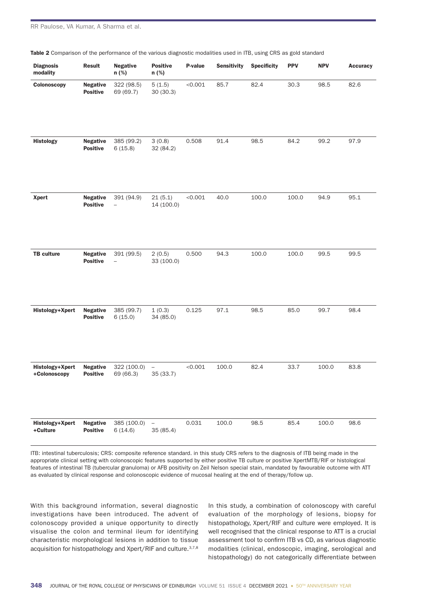| <b>Diagnosis</b><br>modality    | <b>Result</b>                      | <b>Negative</b><br>n (%)               | <b>Positive</b><br>n (%)              | P-value | <b>Sensitivity</b> | <b>Specificity</b> | <b>PPV</b> | <b>NPV</b> | <b>Accuracy</b> |
|---------------------------------|------------------------------------|----------------------------------------|---------------------------------------|---------|--------------------|--------------------|------------|------------|-----------------|
| Colonoscopy                     | <b>Negative</b><br><b>Positive</b> | 322 (98.5)<br>69 (69.7)                | 5(1.5)<br>30(30.3)                    | < 0.001 | 85.7               | 82.4               | 30.3       | 98.5       | 82.6            |
| <b>Histology</b>                | <b>Negative</b><br><b>Positive</b> | 385 (99.2)<br>6(15.8)                  | 3(0.8)<br>32 (84.2)                   | 0.508   | 91.4               | 98.5               | 84.2       | 99.2       | 97.9            |
| <b>Xpert</b>                    | <b>Negative</b><br><b>Positive</b> | 391 (94.9)<br>$\qquad \qquad -$        | 21(5.1)<br>14 (100.0)                 | < 0.001 | 40.0               | 100.0              | 100.0      | 94.9       | 95.1            |
| <b>TB culture</b>               | <b>Negative</b><br><b>Positive</b> | 391 (99.5)<br>$\overline{\phantom{a}}$ | 2(0.5)<br>33 (100.0)                  | 0.500   | 94.3               | 100.0              | 100.0      | 99.5       | 99.5            |
| Histology+Xpert                 | <b>Negative</b><br><b>Positive</b> | 385 (99.7)<br>6(15.0)                  | 1(0.3)<br>34 (85.0)                   | 0.125   | 97.1               | 98.5               | 85.0       | 99.7       | 98.4            |
| Histology+Xpert<br>+Colonoscopy | <b>Negative</b><br><b>Positive</b> | 322 (100.0)<br>69 (66.3)               | $\overline{\phantom{0}}$<br>35 (33.7) | < 0.001 | 100.0              | 82.4               | 33.7       | 100.0      | 83.8            |
| Histology+Xpert<br>+Culture     | <b>Negative</b><br><b>Positive</b> | 385 (100.0)<br>6(14.6)                 | $\qquad \qquad -$<br>35 (85.4)        | 0.031   | 100.0              | 98.5               | 85.4       | 100.0      | 98.6            |

Table 2 Comparison of the performance of the various diagnostic modalities used in ITB, using CRS as gold standard

ITB: intestinal tuberculosis; CRS: composite reference standard. in this study CRS refers to the diagnosis of ITB being made in the appropriate clinical setting with colonoscopic features supported by either positive TB culture or positive XpertMTB/RIF or histological features of intestinal TB (tubercular granuloma) or AFB positivity on Zeil Nelson special stain, mandated by favourable outcome with ATT as evaluated by clinical response and colonoscopic evidence of mucosal healing at the end of therapy/follow up.

With this background information, several diagnostic investigations have been introduced. The advent of colonoscopy provided a unique opportunity to directly visualise the colon and terminal ileum for identifying characteristic morphological lesions in addition to tissue acquisition for histopathology and Xpert/RIF and culture.<sup>3,7,8</sup> In this study, a combination of colonoscopy with careful evaluation of the morphology of lesions, biopsy for histopathology, Xpert/RIF and culture were employed. It is well recognised that the clinical response to ATT is a crucial assessment tool to confirm ITB vs CD, as various diagnostic modalities (clinical, endoscopic, imaging, serological and histopathology) do not categorically differentiate between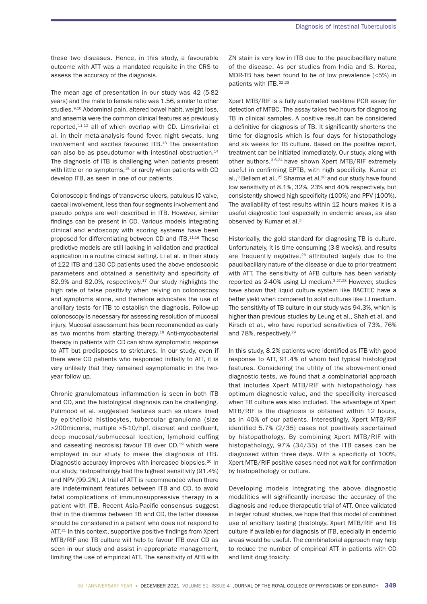these two diseases. Hence, in this study, a favourable outcome with ATT was a mandated requisite in the CRS to assess the accuracy of the diagnosis.

The mean age of presentation in our study was 42 (5-82 years) and the male to female ratio was 1.56, similar to other studies.<sup>9,10</sup> Abdominal pain, altered bowel habit, weight loss, and anaemia were the common clinical features as previously reported,11,12 all of which overlap with CD. Limsrivilai et al. in their meta-analysis found fever, night sweats, lung involvement and ascites favoured ITB.<sup>13</sup> The presentation can also be as pseudotumor with intestinal obstruction.<sup>14</sup> The diagnosis of ITB is challenging when patients present with little or no symptoms, $15$  or rarely when patients with CD develop ITB, as seen in one of our patients.

Colonoscopic findings of transverse ulcers, patulous IC valve, caecal involvement, less than four segments involvement and pseudo polyps are well described in ITB. However, similar findings can be present in CD. Various models integrating clinical and endoscopy with scoring systems have been proposed for differentiating between CD and ITB.11,16 These predictive models are still lacking in validation and practical application in a routine clinical setting. Li et al. in their study of 122 ITB and 130 CD patients used the above endoscopic parameters and obtained a sensitivity and specificity of 82.9% and 82.0%, respectively.17 Our study highlights the high rate of false positivity when relying on colonoscopy and symptoms alone, and therefore advocates the use of ancillary tests for ITB to establish the diagnosis. Follow-up colonoscopy is necessary for assessing resolution of mucosal injury. Mucosal assessment has been recommended as early as two months from starting therapy.<sup>18</sup> Anti-mycobacterial therapy in patients with CD can show symptomatic response to ATT but predisposes to strictures. In our study, even if there were CD patients who responded initially to ATT, it is very unlikely that they remained asymptomatic in the twoyear follow up.

Chronic granulomatous inflammation is seen in both ITB and CD, and the histological diagnosis can be challenging. Pulimood et al. suggested features such as ulcers lined by epithelioid histiocytes, tubercular granuloma (size >200microns, multiple >5-10/hpf, discreet and confluent, deep mucosal/submucosal location, lymphoid cuffing and caseating necrosis) favour TB over CD.<sup>19</sup> which were employed in our study to make the diagnosis of ITB. Diagnostic accuracy improves with increased biopsies.<sup>20</sup> In our study, histopathology had the highest sensitivity (91.4%) and NPV (99.2%). A trial of ATT is recommended when there are indeterminant features between ITB and CD, to avoid fatal complications of immunosuppressive therapy in a patient with ITB. Recent Asia-Pacific consensus suggest that in the dilemma between TB and CD, the latter disease should be considered in a patient who does not respond to ATT.<sup>21</sup> In this context, supportive positive findings from Xpert MTB/RIF and TB culture will help to favour ITB over CD as seen in our study and assist in appropriate management, limiting the use of empirical ATT. The sensitivity of AFB with

ZN stain is very low in ITB due to the paucibacillary nature of the disease. As per studies from India and S. Korea, MDR-TB has been found to be of low prevalence (<5%) in patients with ITB.22,23

Xpert MTB/RIF is a fully automated real-time PCR assay for detection of MTBC. The assay takes two hours for diagnosing TB in clinical samples. A positive result can be considered a definitive for diagnosis of TB. It significantly shortens the time for diagnosis which is four days for histopathology and six weeks for TB culture. Based on the positive report, treatment can be initiated immediately. Our study, along with other authors, 3,6,24 have shown Xpert MTB/RIF extremely useful in confirming EPTB, with high specificity. Kumar et al., $3$  Bellam et al., $25$  Sharma et al. $26$  and our study have found low sensitivity of 8.1%, 32%, 23% and 40% respectively, but consistently showed high specificity (100%) and PPV (100%). The availability of test results within 12 hours makes it is a useful diagnostic tool especially in endemic areas, as also observed by Kumar et al.<sup>3</sup>

Historically, the gold standard for diagnosing TB is culture. Unfortunately, it is time consuming (3-8 weeks), and results are frequently negative,<sup>26</sup> attributed largely due to the paucibacillary nature of the disease or due to prior treatment with ATT. The sensitivity of AFB culture has been variably reported as 2-40% using LJ medium.3,27,28 However, studies have shown that liquid culture system like BACTEC have a better yield when compared to solid cultures like LJ medium. The sensitivity of TB culture in our study was 94.3%, which is higher than previous studies by Leung et al., Shah et al. and Kirsch et al., who have reported sensitivities of 73%, 76% and 78%, respectively.<sup>29</sup>

In this study, 8.2% patients were identified as ITB with good response to ATT, 91.4% of whom had typical histological features. Considering the utility of the above-mentioned diagnostic tests, we found that a combinatorial approach that includes Xpert MTB/RIF with histopathology has optimum diagnostic value, and the specificity increased when TB culture was also included. The advantage of Xpert MTB/RIF is the diagnosis is obtained within 12 hours, as in 40% of our patients. Interestingly, Xpert MTB/RIF identified 5.7% (2/35) cases not positively ascertained by histopathology. By combining Xpert MTB/RIF with histopathology, 97% (34/35) of the ITB cases can be diagnosed within three days. With a specificity of 100%, Xpert MTB/RIF positive cases need not wait for confirmation by histopathology or culture.

Developing models integrating the above diagnostic modalities will significantly increase the accuracy of the diagnosis and reduce therapeutic trial of ATT. Once validated in larger robust studies, we hope that this model of combined use of ancillary testing (histology, Xpert MTB/RIF and TB culture if available) for diagnosis of ITB, epecially in endemic areas would be useful. The combinatorial approach may help to reduce the number of empirical ATT in patients with CD and limit drug toxicity.